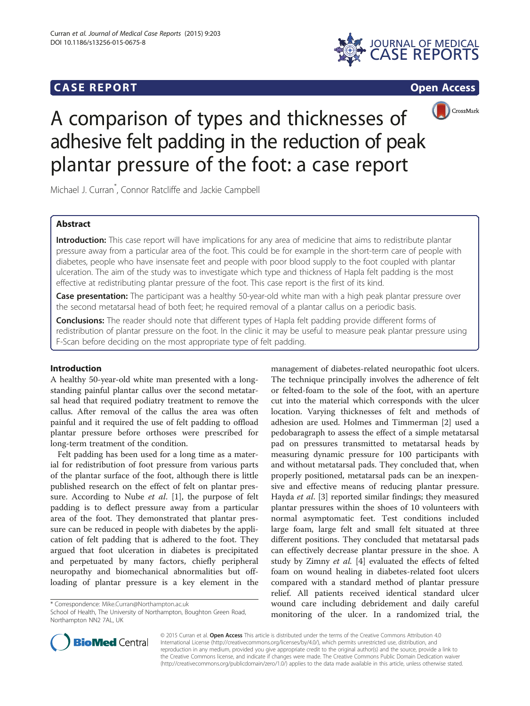# **CASE REPORT CASE REPORT**







# A comparison of types and thicknesses of adhesive felt padding in the reduction of peak plantar pressure of the foot: a case report

Michael J. Curran\* , Connor Ratcliffe and Jackie Campbell

# Abstract

Introduction: This case report will have implications for any area of medicine that aims to redistribute plantar pressure away from a particular area of the foot. This could be for example in the short-term care of people with diabetes, people who have insensate feet and people with poor blood supply to the foot coupled with plantar ulceration. The aim of the study was to investigate which type and thickness of Hapla felt padding is the most effective at redistributing plantar pressure of the foot. This case report is the first of its kind.

**Case presentation:** The participant was a healthy 50-year-old white man with a high peak plantar pressure over the second metatarsal head of both feet; he required removal of a plantar callus on a periodic basis.

Conclusions: The reader should note that different types of Hapla felt padding provide different forms of redistribution of plantar pressure on the foot. In the clinic it may be useful to measure peak plantar pressure using F-Scan before deciding on the most appropriate type of felt padding.

# Introduction

A healthy 50-year-old white man presented with a longstanding painful plantar callus over the second metatarsal head that required podiatry treatment to remove the callus. After removal of the callus the area was often painful and it required the use of felt padding to offload plantar pressure before orthoses were prescribed for long-term treatment of the condition.

Felt padding has been used for a long time as a material for redistribution of foot pressure from various parts of the plantar surface of the foot, although there is little published research on the effect of felt on plantar pres-sure. According to Nube et al. [\[1](#page-5-0)], the purpose of felt padding is to deflect pressure away from a particular area of the foot. They demonstrated that plantar pressure can be reduced in people with diabetes by the application of felt padding that is adhered to the foot. They argued that foot ulceration in diabetes is precipitated and perpetuated by many factors, chiefly peripheral neuropathy and biomechanical abnormalities but offloading of plantar pressure is a key element in the

\* Correspondence: [Mike.Curran@Northampton.ac.uk](mailto:Mike.Curran@Northampton.ac.uk)

management of diabetes-related neuropathic foot ulcers. The technique principally involves the adherence of felt or felted-foam to the sole of the foot, with an aperture cut into the material which corresponds with the ulcer location. Varying thicknesses of felt and methods of adhesion are used. Holmes and Timmerman [\[2](#page-5-0)] used a pedobaragraph to assess the effect of a simple metatarsal pad on pressures transmitted to metatarsal heads by measuring dynamic pressure for 100 participants with and without metatarsal pads. They concluded that, when properly positioned, metatarsal pads can be an inexpensive and effective means of reducing plantar pressure. Hayda et al. [[3\]](#page-5-0) reported similar findings; they measured plantar pressures within the shoes of 10 volunteers with normal asymptomatic feet. Test conditions included large foam, large felt and small felt situated at three different positions. They concluded that metatarsal pads can effectively decrease plantar pressure in the shoe. A study by Zimny et al. [[4\]](#page-5-0) evaluated the effects of felted foam on wound healing in diabetes-related foot ulcers compared with a standard method of plantar pressure relief. All patients received identical standard ulcer wound care including debridement and daily careful monitoring of the ulcer. In a randomized trial, the



© 2015 Curran et al. Open Access This article is distributed under the terms of the Creative Commons Attribution 4.0 International License [\(http://creativecommons.org/licenses/by/4.0/](http://creativecommons.org/licenses/by/4.0/)), which permits unrestricted use, distribution, and reproduction in any medium, provided you give appropriate credit to the original author(s) and the source, provide a link to the Creative Commons license, and indicate if changes were made. The Creative Commons Public Domain Dedication waiver [\(http://creativecommons.org/publicdomain/zero/1.0/](http://creativecommons.org/publicdomain/zero/1.0/)) applies to the data made available in this article, unless otherwise stated.

School of Health, The University of Northampton, Boughton Green Road, Northampton NN2 7AL, UK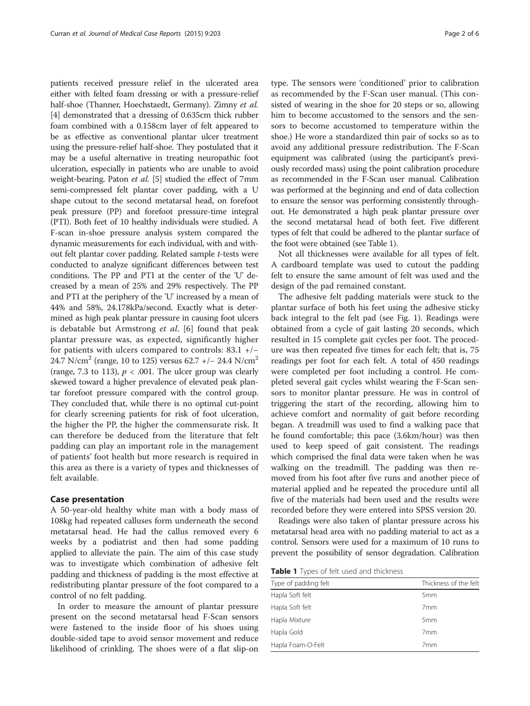patients received pressure relief in the ulcerated area either with felted foam dressing or with a pressure-relief half-shoe (Thanner, Hoechstaedt, Germany). Zimny et al. [[4\]](#page-5-0) demonstrated that a dressing of 0.635cm thick rubber foam combined with a 0.158cm layer of felt appeared to be as effective as conventional plantar ulcer treatment using the pressure-relief half-shoe. They postulated that it may be a useful alternative in treating neuropathic foot ulceration, especially in patients who are unable to avoid weight-bearing. Paton et al. [\[5](#page-5-0)] studied the effect of 7mm semi-compressed felt plantar cover padding, with a U shape cutout to the second metatarsal head, on forefoot peak pressure (PP) and forefoot pressure-time integral (PTI). Both feet of 10 healthy individuals were studied. A F-scan in-shoe pressure analysis system compared the dynamic measurements for each individual, with and without felt plantar cover padding. Related sample t-tests were conducted to analyze significant differences between test conditions. The PP and PTI at the center of the 'U' decreased by a mean of 25% and 29% respectively. The PP and PTI at the periphery of the 'U' increased by a mean of 44% and 58%, 24.178kPa/second. Exactly what is determined as high peak plantar pressure in causing foot ulcers is debatable but Armstrong et al. [\[6](#page-5-0)] found that peak plantar pressure was, as expected, significantly higher for patients with ulcers compared to controls: 83.1 +/− 24.7 N/cm<sup>2</sup> (range, 10 to 125) versus 62.7 +/- 24.4 N/cm<sup>2</sup> (range, 7.3 to 113),  $p < .001$ . The ulcer group was clearly skewed toward a higher prevalence of elevated peak plantar forefoot pressure compared with the control group. They concluded that, while there is no optimal cut-point for clearly screening patients for risk of foot ulceration, the higher the PP, the higher the commensurate risk. It can therefore be deduced from the literature that felt padding can play an important role in the management of patients' foot health but more research is required in this area as there is a variety of types and thicknesses of felt available.

#### Case presentation

A 50-year-old healthy white man with a body mass of 108kg had repeated calluses form underneath the second metatarsal head. He had the callus removed every 6 weeks by a podiatrist and then had some padding applied to alleviate the pain. The aim of this case study was to investigate which combination of adhesive felt padding and thickness of padding is the most effective at redistributing plantar pressure of the foot compared to a control of no felt padding.

In order to measure the amount of plantar pressure present on the second metatarsal head F-Scan sensors were fastened to the inside floor of his shoes using double-sided tape to avoid sensor movement and reduce likelihood of crinkling. The shoes were of a flat slip-on

type. The sensors were 'conditioned' prior to calibration as recommended by the F-Scan user manual. (This consisted of wearing in the shoe for 20 steps or so, allowing him to become accustomed to the sensors and the sensors to become accustomed to temperature within the shoe.) He wore a standardized thin pair of socks so as to avoid any additional pressure redistribution. The F-Scan equipment was calibrated (using the participant's previously recorded mass) using the point calibration procedure as recommended in the F-Scan user manual. Calibration was performed at the beginning and end of data collection to ensure the sensor was performing consistently throughout. He demonstrated a high peak plantar pressure over the second metatarsal head of both feet. Five different types of felt that could be adhered to the plantar surface of the foot were obtained (see Table 1).

Not all thicknesses were available for all types of felt. A cardboard template was used to cutout the padding felt to ensure the same amount of felt was used and the design of the pad remained constant.

The adhesive felt padding materials were stuck to the plantar surface of both his feet using the adhesive sticky back integral to the felt pad (see Fig. [1\)](#page-2-0). Readings were obtained from a cycle of gait lasting 20 seconds, which resulted in 15 complete gait cycles per foot. The procedure was then repeated five times for each felt; that is, 75 readings per foot for each felt. A total of 450 readings were completed per foot including a control. He completed several gait cycles whilst wearing the F-Scan sensors to monitor plantar pressure. He was in control of triggering the start of the recording, allowing him to achieve comfort and normality of gait before recording began. A treadmill was used to find a walking pace that he found comfortable; this pace (3.6km/hour) was then used to keep speed of gait consistent. The readings which comprised the final data were taken when he was walking on the treadmill. The padding was then removed from his foot after five runs and another piece of material applied and he repeated the procedure until all five of the materials had been used and the results were recorded before they were entered into SPSS version 20.

Readings were also taken of plantar pressure across his metatarsal head area with no padding material to act as a control. Sensors were used for a maximum of 10 runs to prevent the possibility of sensor degradation. Calibration

Table 1 Types of felt used and thickness

| Type of padding felt | Thickness of the felt |  |
|----------------------|-----------------------|--|
| Hapla Soft felt      | 5 <sub>mm</sub>       |  |
| Hapla Soft felt      | 7 <sub>mm</sub>       |  |
| Hapla Mixture        | 5 <sub>mm</sub>       |  |
| Hapla Gold           | 7 <sub>mm</sub>       |  |
| Hapla Foam-O-Felt    | 7 <sub>mm</sub>       |  |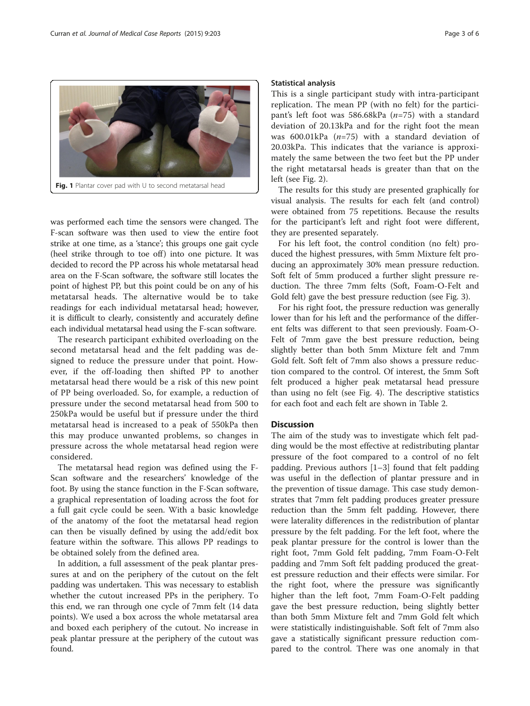was performed each time the sensors were changed. The F-scan software was then used to view the entire foot strike at one time, as a 'stance'; this groups one gait cycle (heel strike through to toe off) into one picture. It was decided to record the PP across his whole metatarsal head area on the F-Scan software, the software still locates the point of highest PP, but this point could be on any of his metatarsal heads. The alternative would be to take readings for each individual metatarsal head; however, it is difficult to clearly, consistently and accurately define each individual metatarsal head using the F-scan software.

The research participant exhibited overloading on the second metatarsal head and the felt padding was designed to reduce the pressure under that point. However, if the off-loading then shifted PP to another metatarsal head there would be a risk of this new point of PP being overloaded. So, for example, a reduction of pressure under the second metatarsal head from 500 to 250kPa would be useful but if pressure under the third metatarsal head is increased to a peak of 550kPa then this may produce unwanted problems, so changes in pressure across the whole metatarsal head region were considered.

The metatarsal head region was defined using the F-Scan software and the researchers' knowledge of the foot. By using the stance function in the F-Scan software, a graphical representation of loading across the foot for a full gait cycle could be seen. With a basic knowledge of the anatomy of the foot the metatarsal head region can then be visually defined by using the add/edit box feature within the software. This allows PP readings to be obtained solely from the defined area.

In addition, a full assessment of the peak plantar pressures at and on the periphery of the cutout on the felt padding was undertaken. This was necessary to establish whether the cutout increased PPs in the periphery. To this end, we ran through one cycle of 7mm felt (14 data points). We used a box across the whole metatarsal area and boxed each periphery of the cutout. No increase in peak plantar pressure at the periphery of the cutout was found.

#### Statistical analysis

This is a single participant study with intra-participant replication. The mean PP (with no felt) for the participant's left foot was 586.68kPa  $(n=75)$  with a standard deviation of 20.13kPa and for the right foot the mean was  $600.01$ kPa ( $n=75$ ) with a standard deviation of 20.03kPa. This indicates that the variance is approximately the same between the two feet but the PP under the right metatarsal heads is greater than that on the left (see Fig. [2](#page-3-0)).

The results for this study are presented graphically for visual analysis. The results for each felt (and control) were obtained from 75 repetitions. Because the results for the participant's left and right foot were different, they are presented separately.

For his left foot, the control condition (no felt) produced the highest pressures, with 5mm Mixture felt producing an approximately 30% mean pressure reduction. Soft felt of 5mm produced a further slight pressure reduction. The three 7mm felts (Soft, Foam-O-Felt and Gold felt) gave the best pressure reduction (see Fig. [3](#page-3-0)).

For his right foot, the pressure reduction was generally lower than for his left and the performance of the different felts was different to that seen previously. Foam-O-Felt of 7mm gave the best pressure reduction, being slightly better than both 5mm Mixture felt and 7mm Gold felt. Soft felt of 7mm also shows a pressure reduction compared to the control. Of interest, the 5mm Soft felt produced a higher peak metatarsal head pressure than using no felt (see Fig. [4\)](#page-4-0). The descriptive statistics for each foot and each felt are shown in Table [2](#page-4-0).

## Discussion

The aim of the study was to investigate which felt padding would be the most effective at redistributing plantar pressure of the foot compared to a control of no felt padding. Previous authors [\[1](#page-5-0)–[3](#page-5-0)] found that felt padding was useful in the deflection of plantar pressure and in the prevention of tissue damage. This case study demonstrates that 7mm felt padding produces greater pressure reduction than the 5mm felt padding. However, there were laterality differences in the redistribution of plantar pressure by the felt padding. For the left foot, where the peak plantar pressure for the control is lower than the right foot, 7mm Gold felt padding, 7mm Foam-O-Felt padding and 7mm Soft felt padding produced the greatest pressure reduction and their effects were similar. For the right foot, where the pressure was significantly higher than the left foot, 7mm Foam-O-Felt padding gave the best pressure reduction, being slightly better than both 5mm Mixture felt and 7mm Gold felt which were statistically indistinguishable. Soft felt of 7mm also gave a statistically significant pressure reduction compared to the control. There was one anomaly in that

<span id="page-2-0"></span>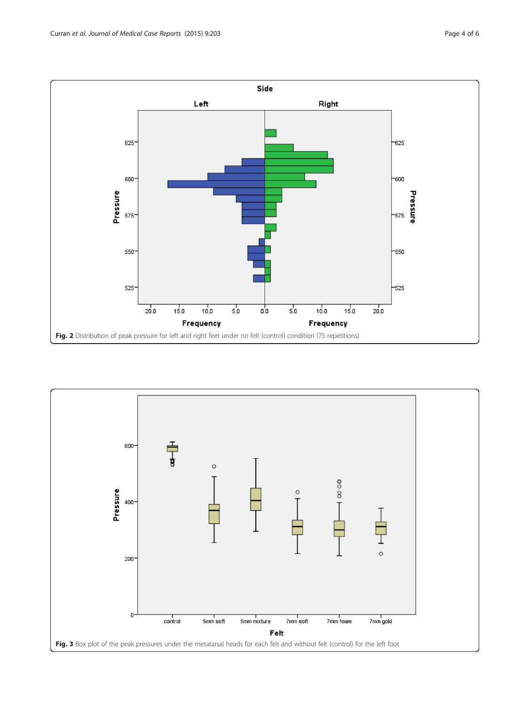<span id="page-3-0"></span>

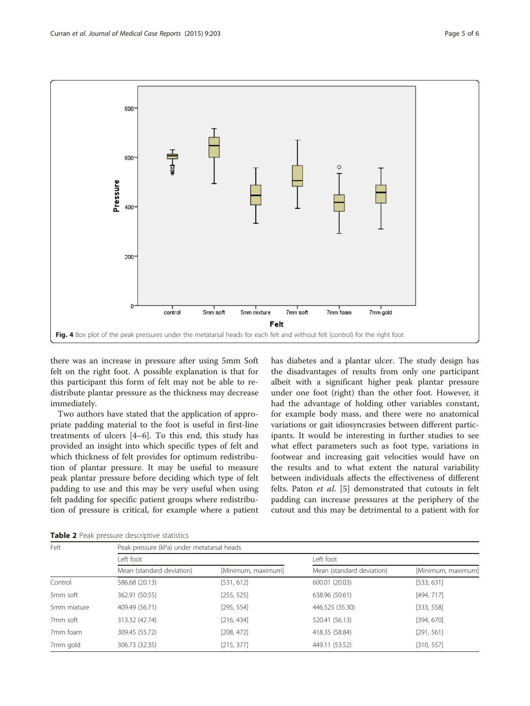<span id="page-4-0"></span>

there was an increase in pressure after using 5mm Soft felt on the right foot. A possible explanation is that for this participant this form of felt may not be able to redistribute plantar pressure as the thickness may decrease immediately.

Two authors have stated that the application of appropriate padding material to the foot is useful in first-line treatments of ulcers [\[4](#page-5-0)–[6\]](#page-5-0). To this end, this study has provided an insight into which specific types of felt and which thickness of felt provides for optimum redistribution of plantar pressure. It may be useful to measure peak plantar pressure before deciding which type of felt padding to use and this may be very useful when using felt padding for specific patient groups where redistribution of pressure is critical, for example where a patient has diabetes and a plantar ulcer. The study design has the disadvantages of results from only one participant albeit with a significant higher peak plantar pressure under one foot (right) than the other foot. However, it had the advantage of holding other variables constant, for example body mass, and there were no anatomical variations or gait idiosyncrasies between different participants. It would be interesting in further studies to see what effect parameters such as foot type, variations in footwear and increasing gait velocities would have on the results and to what extent the natural variability between individuals affects the effectiveness of different felts. Paton et al. [\[5](#page-5-0)] demonstrated that cutouts in felt padding can increase pressures at the periphery of the cutout and this may be detrimental to a patient with for

Table 2 Peak pressure descriptive statistics

| Felt        | Peak pressure (kPa) under metatarsal heads |                    |                           |                    |  |
|-------------|--------------------------------------------|--------------------|---------------------------|--------------------|--|
|             | Left foot                                  |                    | Left foot                 |                    |  |
|             | Mean (standard deviation)                  | [Minimum, maximum] | Mean (standard deviation) | [Minimum, maximum] |  |
| Control     | 586.68 (20.13)                             | [531, 612]         | 600.01 (20.03)            | [533, 631]         |  |
| 5mm soft    | 362.91 (50.55)                             | [255, 525]         | 638.96 (50.61)            | [494, 717]         |  |
| 5mm mixture | 409.49 (56.71)                             | [295, 554]         | 446.525 (35.30)           | [333, 558]         |  |
| 7mm soft    | 313.32 (42.74)                             | [216, 434]         | 520.41 (56.13)            | [394, 670]         |  |
| 7mm foam    | 309.45 (55.72)                             | [208, 472]         | 418.35 (58.84)            | [291, 561]         |  |
| 7mm gold    | 306.73 (32.35)                             | [215, 377]         | 449.11 (53.52)            | [310, 557]         |  |